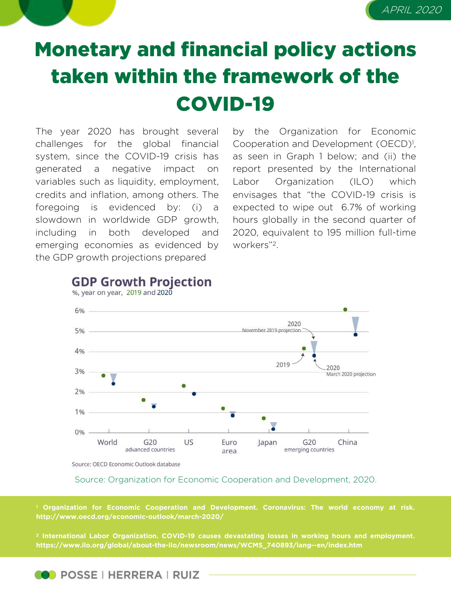

## Monetary and financial policy actions taken within the framework of the COVID-19

The year 2020 has brought several challenges for the global financial system, since the COVID-19 crisis has generated a negative impact on variables such as liquidity, employment, credits and inflation, among others. The foregoing is evidenced by: (i) a slowdown in worldwide GDP growth, including in both developed and emerging economies as evidenced by the GDP growth projections prepared

by the Organization for Economic Cooperation and Development (OECD)<sup>1</sup>, as seen in Graph 1 below; and (ii) the report presented by the International Labor Organization (ILO) which envisages that "the COVID-19 crisis is expected to wipe out 6.7% of working hours globally in the second quarter of 2020, equivalent to 195 million full-time workers"2.



## **GDP Growth Projection** %, year on year, 2019 and 2020

Source: OECD Economic Outlook database

## Source: Organization for Economic Cooperation and Development, 2020.

**<sup>1</sup> Organization for Economic Cooperation and Development. Coronavirus: The world economy at risk. http://www.oecd.org/economic-outlook/march-2020/**

**<sup>2</sup> International Labor Organization. COVID-19 causes devastating losses in working hours and employment. https://www.ilo.org/global/about-the-ilo/newsroom/news/WCMS\_740893/lang--en/index.htm**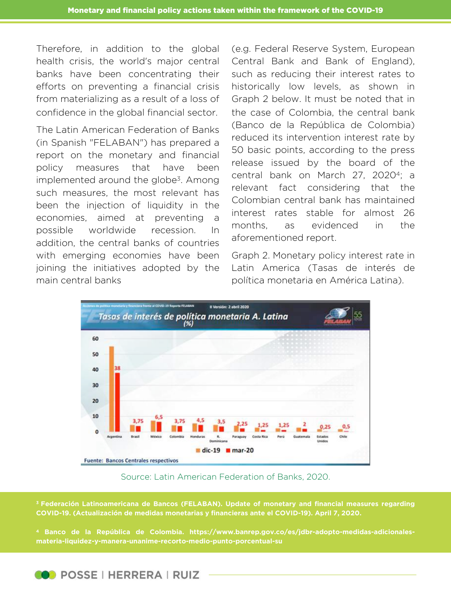Therefore, in addition to the global health crisis, the world's major central banks have been concentrating their efforts on preventing a financial crisis from materializing as a result of a loss of confidence in the global financial sector.

The Latin American Federation of Banks (in Spanish "FELABAN") has prepared a report on the monetary and financial policy measures that have been implemented around the globe<sup>3</sup>. Among such measures, the most relevant has been the injection of liquidity in the economies, aimed at preventing a possible worldwide recession. In addition, the central banks of countries with emerging economies have been joining the initiatives adopted by the main central banks

(e.g. Federal Reserve System, European Central Bank and Bank of England), such as reducing their interest rates to historically low levels, as shown in Graph 2 below. It must be noted that in the case of Colombia, the central bank (Banco de la República de Colombia) reduced its intervention interest rate by 50 basic points, according to the press release issued by the board of the central bank on March 27, 20204; a relevant fact considering that the Colombian central bank has maintained interest rates stable for almost 26 months, as evidenced in the aforementioned report.

Graph 2. Monetary policy interest rate in Latin America (Tasas de interés de política monetaria en América Latina).



Source: Latin American Federation of Banks, 2020.

**<sup>3</sup> Federación Latinoamericana de Bancos (FELABAN). Update of monetary and financial measures regarding COVID-19. (Actualización de medidas monetarias y financieras ante el COVID-19). April 7, 2020.**

**<sup>4</sup> Banco de la República de Colombia. https://www.banrep.gov.co/es/jdbr-adopto-medidas-adicionales-**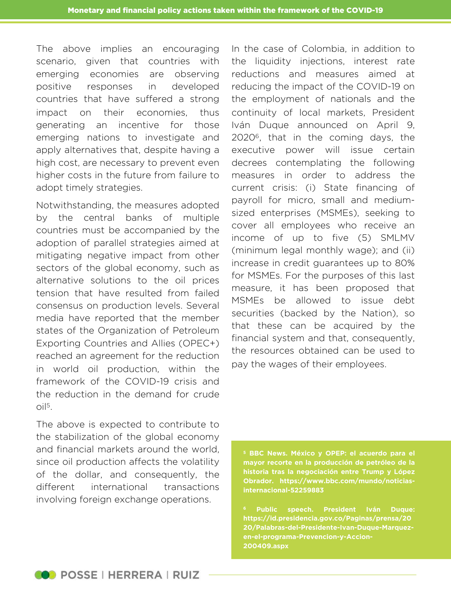The above implies an encouraging scenario, given that countries with emerging economies are observing positive responses in developed countries that have suffered a strong impact on their economies, thus generating an incentive for those emerging nations to investigate and apply alternatives that, despite having a high cost, are necessary to prevent even higher costs in the future from failure to adopt timely strategies.

Notwithstanding, the measures adopted by the central banks of multiple countries must be accompanied by the adoption of parallel strategies aimed at mitigating negative impact from other sectors of the global economy, such as alternative solutions to the oil prices tension that have resulted from failed consensus on production levels. Several media have reported that the member states of the Organization of Petroleum Exporting Countries and Allies (OPEC+) reached an agreement for the reduction in world oil production, within the framework of the COVID-19 crisis and the reduction in the demand for crude  $\Omega$ il<sup>5</sup>.

The above is expected to contribute to the stabilization of the global economy and financial markets around the world, since oil production affects the volatility of the dollar, and consequently, the different international transactions involving foreign exchange operations.

In the case of Colombia, in addition to the liquidity injections, interest rate reductions and measures aimed at reducing the impact of the COVID-19 on the employment of nationals and the continuity of local markets, President Iván Duque announced on April 9, 20206, that in the coming days, the executive power will issue certain decrees contemplating the following measures in order to address the current crisis: (i) State financing of payroll for micro, small and mediumsized enterprises (MSMEs), seeking to cover all employees who receive an income of up to five (5) SMLMV (minimum legal monthly wage); and (ii) increase in credit guarantees up to 80% for MSMEs. For the purposes of this last measure, it has been proposed that MSMEs be allowed to issue debt securities (backed by the Nation), so that these can be acquired by the financial system and that, consequently, the resources obtained can be used to pay the wages of their employees.

**<sup>5</sup> BBC News. México y OPEP: el acuerdo para el mayor recorte en la producción de petróleo de la historia tras la negociación entre Trump y López Obrador. https://www.bbc.com/mundo/noticiasinternacional-52259883**

**<sup>6</sup> Public speech. President Iván Duque: https://id.presidencia.gov.co/Paginas/prensa/20 20/Palabras-del-Presidente-Ivan-Duque-Marquezen-el-programa-Prevencion-y-Accion-200409.aspx**